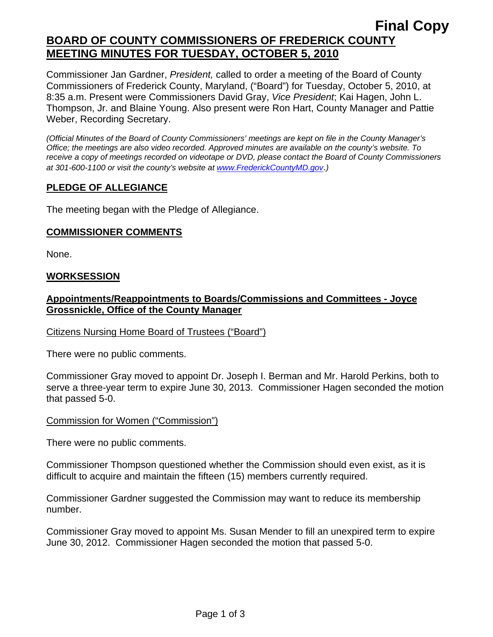# **Final Copy BOARD OF COUNTY COMMISSIONERS OF FREDERICK COUNTY MEETING MINUTES FOR TUESDAY, OCTOBER 5, 2010**

Commissioner Jan Gardner, *President,* called to order a meeting of the Board of County Commissioners of Frederick County, Maryland, ("Board") for Tuesday, October 5, 2010, at 8:35 a.m. Present were Commissioners David Gray, *Vice President*; Kai Hagen, John L. Thompson, Jr. and Blaine Young. Also present were Ron Hart, County Manager and Pattie Weber, Recording Secretary.

*(Official Minutes of the Board of County Commissioners' meetings are kept on file in the County Manager's Office; the meetings are also video recorded. Approved minutes are available on the county's website. To receive a copy of meetings recorded on videotape or DVD, please contact the Board of County Commissioners at 301-600-1100 or visit the county's website at [www.FrederickCountyMD.gov](http://www.frederickcountymd.gov/)*.*)* 

## **PLEDGE OF ALLEGIANCE**

The meeting began with the Pledge of Allegiance.

## **COMMISSIONER COMMENTS**

None.

## **WORKSESSION**

# **Appointments/Reappointments to Boards/Commissions and Committees - Joyce Grossnickle, Office of the County Manager**

## Citizens Nursing Home Board of Trustees ("Board")

There were no public comments.

Commissioner Gray moved to appoint Dr. Joseph I. Berman and Mr. Harold Perkins, both to serve a three-year term to expire June 30, 2013. Commissioner Hagen seconded the motion that passed 5-0.

## Commission for Women ("Commission")

There were no public comments.

Commissioner Thompson questioned whether the Commission should even exist, as it is difficult to acquire and maintain the fifteen (15) members currently required.

Commissioner Gardner suggested the Commission may want to reduce its membership number.

Commissioner Gray moved to appoint Ms. Susan Mender to fill an unexpired term to expire June 30, 2012. Commissioner Hagen seconded the motion that passed 5-0.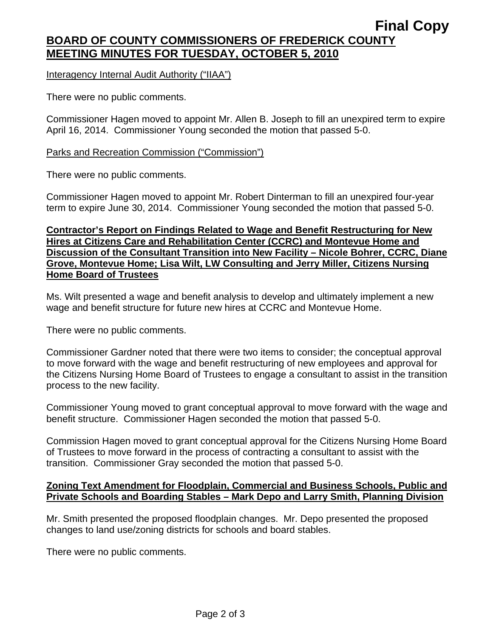# **Final Copy BOARD OF COUNTY COMMISSIONERS OF FREDERICK COUNTY MEETING MINUTES FOR TUESDAY, OCTOBER 5, 2010**

Interagency Internal Audit Authority ("IIAA")

There were no public comments.

Commissioner Hagen moved to appoint Mr. Allen B. Joseph to fill an unexpired term to expire April 16, 2014. Commissioner Young seconded the motion that passed 5-0.

#### Parks and Recreation Commission ("Commission")

There were no public comments.

Commissioner Hagen moved to appoint Mr. Robert Dinterman to fill an unexpired four-year term to expire June 30, 2014. Commissioner Young seconded the motion that passed 5-0.

#### **Contractor's Report on Findings Related to Wage and Benefit Restructuring for New Hires at Citizens Care and Rehabilitation Center (CCRC) and Montevue Home and Discussion of the Consultant Transition into New Facility – Nicole Bohrer, CCRC, Diane Grove, Montevue Home; Lisa Wilt, LW Consulting and Jerry Miller, Citizens Nursing Home Board of Trustees**

Ms. Wilt presented a wage and benefit analysis to develop and ultimately implement a new wage and benefit structure for future new hires at CCRC and Montevue Home.

There were no public comments.

Commissioner Gardner noted that there were two items to consider; the conceptual approval to move forward with the wage and benefit restructuring of new employees and approval for the Citizens Nursing Home Board of Trustees to engage a consultant to assist in the transition process to the new facility.

Commissioner Young moved to grant conceptual approval to move forward with the wage and benefit structure. Commissioner Hagen seconded the motion that passed 5-0.

Commission Hagen moved to grant conceptual approval for the Citizens Nursing Home Board of Trustees to move forward in the process of contracting a consultant to assist with the transition. Commissioner Gray seconded the motion that passed 5-0.

## **Zoning Text Amendment for Floodplain, Commercial and Business Schools, Public and Private Schools and Boarding Stables – Mark Depo and Larry Smith, Planning Division**

Mr. Smith presented the proposed floodplain changes. Mr. Depo presented the proposed changes to land use/zoning districts for schools and board stables.

There were no public comments.